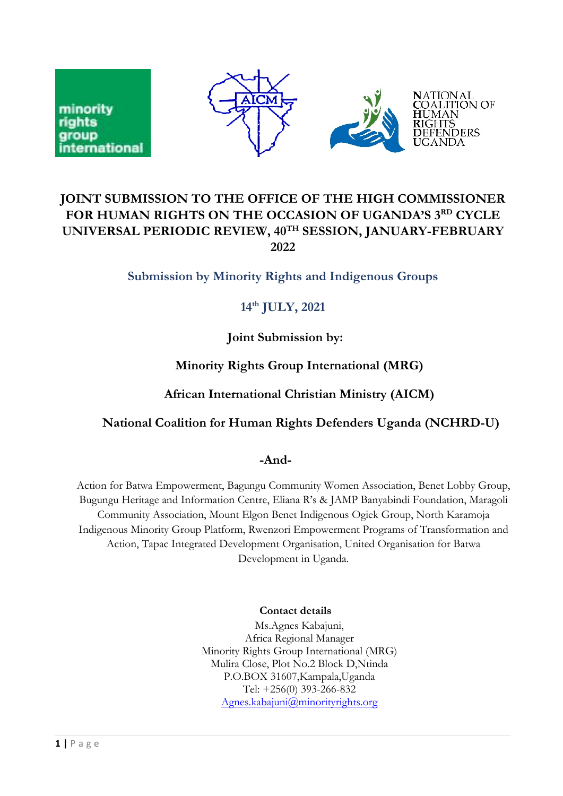

# **JOINT SUBMISSION TO THE OFFICE OF THE HIGH COMMISSIONER FOR HUMAN RIGHTS ON THE OCCASION OF UGANDA'S 3RD CYCLE UNIVERSAL PERIODIC REVIEW, 40TH SESSION, JANUARY-FEBRUARY 2022**

### **Submission by Minority Rights and Indigenous Groups**

# **14th JULY, 2021**

**Joint Submission by:**

# **Minority Rights Group International (MRG)**

### **African International Christian Ministry (AICM)**

# **National Coalition for Human Rights Defenders Uganda (NCHRD-U)**

#### **-And-**

Action for Batwa Empowerment, Bagungu Community Women Association, Benet Lobby Group, Bugungu Heritage and Information Centre, Eliana <sup>R</sup>'<sup>s</sup> & JAMP Banyabindi Foundation, Maragoli Community Association, Mount Elgon Benet Indigenous Ogiek Group, North Karamoja Indigenous Minority Group Platform, Rwenzori Empowerment Programs of Transformation and Action, Tapac Integrated Development Organisation, United Organisation for Batwa Development in Uganda.

#### **Contact details**

Ms.Agnes Kabajuni, Africa Regional Manager Minority Rights Group International (MRG) Mulira Close, Plot No.2 Block D,Ntinda P.O.BOX 31607,Kampala,Uganda Tel: +256(0) 393-266-832 [Agnes.kabajuni@minorityrights.org](mailto:Agnes.kabajuni@minorityrights.org)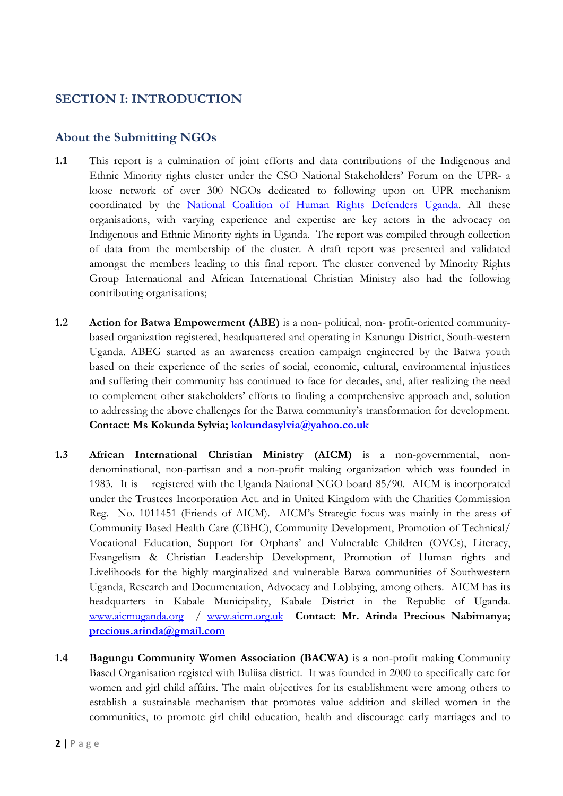# **SECTION I: INTRODUCTION**

#### **About the Submitting NGOs**

- **1.1** This report is <sup>a</sup> culmination of joint efforts and data contributions of the Indigenous and Ethnic Minority rights cluster under the CSO National Stakeholders' Forum on the UPR- <sup>a</sup> loose network of over 300 NGOs dedicated to following upon on UPR mechanism coordinated by the National Coalition of Human Rights Defenders [Uganda](http://www.hrdcoalition.ug). All these organisations, with varying experience and expertise are key actors in the advocacy on Indigenous and Ethnic Minority rights in Uganda. The report was compiled through collection of data from the membership of the cluster. A draft report was presented and validated amongst the members leading to this final report. The cluster convened by Minority Rights Group International and African International Christian Ministry also had the following contributing organisations;
- **1.2 Action for Batwa Empowerment (ABE)** is <sup>a</sup> non- political, non- profit-oriented communitybased organization registered, headquartered and operating in Kanungu District, South-western Uganda. ABEG started as an awareness creation campaign engineered by the Batwa youth based on their experience of the series of social, economic, cultural, environmental injustices and suffering their community has continued to face for decades, and, after realizing the need to complement other stakeholders' efforts to finding <sup>a</sup> comprehensive approach and, solution to addressing the above challenges for the Batwa community'<sup>s</sup> transformation for development. **Contact: Ms Kokunda Sylvia; [kokundasylvia@yahoo.co.uk](mailto:kokundasylvia@yahoo.co.uk)**
- **1.3 African International Christian Ministry (AICM)** is <sup>a</sup> non-governmental, nondenominational, non-partisan and <sup>a</sup> non-profit making organization which was founded in 1983. It is registered with the Uganda National NGO board 85/90. AICM is incorporated under the Trustees Incorporation Act. and in United Kingdom with the Charities Commission Reg. No. 1011451 (Friends of AICM). AICM'<sup>s</sup> Strategic focus was mainly in the areas of Community Based Health Care (CBHC), Community Development, Promotion of Technical/ Vocational Education, Support for Orphans' and Vulnerable Children (OVCs), Literacy, Evangelism & Christian Leadership Development, Promotion of Human rights and Livelihoods for the highly marginalized and vulnerable Batwa communities of Southwestern Uganda, Research and Documentation, Advocacy and Lobbying, among others. AICM has its headquarters in Kabale Municipality, Kabale District in the Republic of Uganda. [www.aicmuganda.org](http://www.aicmuganda.org) / [www.aicm.org.uk](http://www.aicm.org.uk) **Contact: Mr. Arinda Precious Nabimanya; prec[ious.arinda@gmail.com](mailto:precious.arinda@gmail.com)**
- **1.4 Bagungu Community Women Association (BACWA)** is <sup>a</sup> non-profit making Community Based Organisation registed with Buliisa district. It was founded in 2000 to specifically care for women and girl child affairs. The main objectives for its establishment were among others to establish <sup>a</sup> sustainable mechanism that promotes value addition and skilled women in the communities, to promote girl child education, health and discourage early marriages and to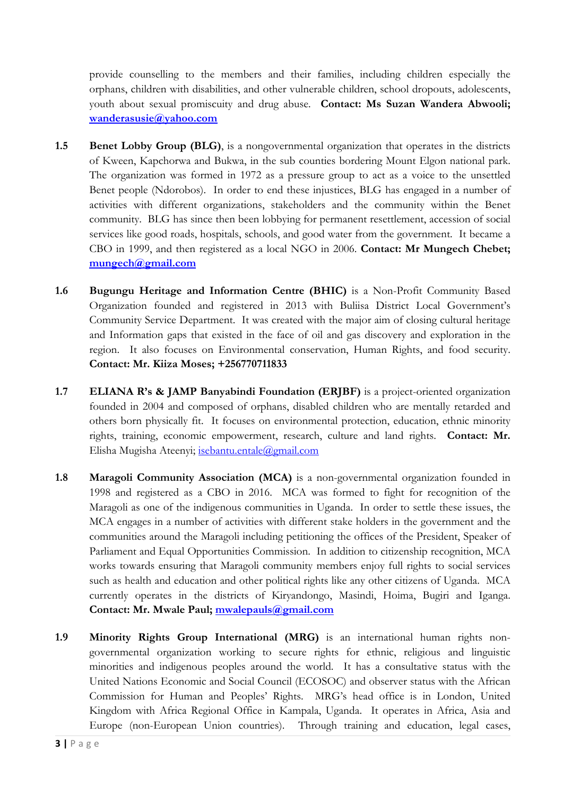provide counselling to the members and their families, including children especially the orphans, children with disabilities, and other vulnerable children, school dropouts, adolescents, youth about sexual promiscuity and drug abuse. **Contact: Ms Suzan Wandera Abwooli; [wanderasusie@yahoo.com](mailto:wanderasusie@yahoo.com)**

- **1.5 Benet Lobby Group (BLG)**, is <sup>a</sup> nongovernmental organization that operates in the districts of Kween, Kapchorwa and Bukwa, in the sub counties bordering Mount Elgon national park. The organization was formed in 1972 as <sup>a</sup> pressure group to act as <sup>a</sup> voice to the unsettled Benet people (Ndorobos). In order to end these injustices, BLG has engaged in <sup>a</sup> number of activities with different organizations, stakeholders and the community within the Benet community. BLG has since then been lobbying for permanent resettlement, accession of social services like good roads, hospitals, schools, and good water from the government. It became <sup>a</sup> CBO in 1999, and then registered as <sup>a</sup> local NGO in 2006. **Contact: Mr Mungech Chebet; mungec[h@gmail.com](mailto:mungech@gmail.com)**
- **1.6 Bugungu Heritage and Information Centre (BHIC)** is <sup>a</sup> Non-Profit Community Based Organization founded and registered in 2013 with Buliisa District Local Government'<sup>s</sup> Community Service Department. It was created with the major aim of closing cultural heritage and Information gaps that existed in the face of oil and gas discovery and exploration in the region. It also focuses on Environmental conservation, Human Rights, and food security. **Contact: Mr. Kiiza Moses; +256770711833**
- **1.7 ELIANA <sup>R</sup>'<sup>s</sup> & JAMP Banyabindi Foundation (ERJBF)** is <sup>a</sup> project-oriented organization founded in 2004 and composed of orphans, disabled children who are mentally retarded and others born physically fit. It focuses on environmental protection, education, ethnic minority rights, training, economic empowerment, research, culture and land rights. **Contact: Mr.** Elisha Mugisha Ateenyi; [isebantu.entale@gmail.com](mailto:isebantu.entale@gmail.com)
- **1.8 Maragoli Community Association (MCA)** is <sup>a</sup> non-governmental organization founded in 1998 and registered as <sup>a</sup> CBO in 2016. MCA was formed to fight for recognition of the Maragoli as one of the indigenous communities in Uganda. In order to settle these issues, the MCA engages in <sup>a</sup> number of activities with different stake holders in the government and the communities around the Maragoli including petitioning the offices of the President, Speaker of Parliament and Equal Opportunities Commission. In addition to citizenship recognition, MCA works towards ensuring that Maragoli community members enjoy full rights to social services such as health and education and other political rights like any other citizens of Uganda. MCA currently operates in the districts of Kiryandongo, Masindi, Hoima, Bugiri and Iganga. **Contact: Mr. Mwale Paul; [mwalepauls@gmail.com](mailto:mwalepauls@gmail.com)**
- **1.9 Minority Rights Group International (MRG)** is an international human rights nongovernmental organization working to secure rights for ethnic, religious and linguistic minorities and indigenous peoples around the world. It has <sup>a</sup> consultative status with the United Nations Economic and Social Council (ECOSOC) and observer status with the African Commission for Human and Peoples' Rights. MRG'<sup>s</sup> head office is in London, United Kingdom with Africa Regional Office in Kampala, Uganda. It operates in Africa, Asia and Europe (non-European Union countries). Through training and education, legal cases,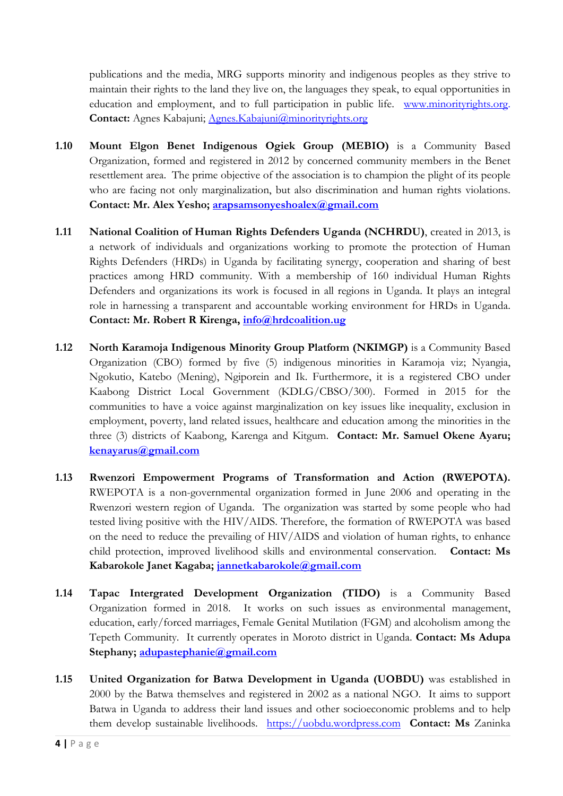publications and the media, MRG supports minority and indigenous peoples as they strive to maintain their rights to the land they live on, the languages they speak, to equal opportunities in education and employment, and to full participation in public life. [www.minorityrights.org](http://www.minorityrights.org). Contact: Agnes Kabajuni; [Agnes.Kabajuni@minorityrights.org](mailto:Agnes.Kabajuni@minorityrights.org)

- **1.10 Mount Elgon Benet Indigenous Ogiek Group (MEBIO)** is <sup>a</sup> Community Based Organization, formed and registered in 2012 by concerned community members in the Benet resettlement area. The prime objective of the association is to champion the plight of its people who are facing not only marginalization, but also discrimination and human rights violations. **Contact: Mr. Alex Yesho; arapsamsonyes[hoalex@gmail.com](mailto:arapsamsonyeshoalex@gmail.com)**
- **1.11 National Coalition of Human Rights Defenders Uganda (NCHRDU)**, created in 2013, is <sup>a</sup> network of individuals and organizations working to promote the protection of Human Rights Defenders (HRDs) in Uganda by facilitating synergy, cooperation and sharing of best practices among HRD community. With <sup>a</sup> membership of 160 individual Human Rights Defenders and organizations its work is focused in all regions in Uganda. It plays an integral role in harnessing <sup>a</sup> transparent and accountable working environment for HRDs in Uganda. **Contact: Mr. Robert <sup>R</sup> Kirenga, [info@hrdcoalition.ug](mailto:advocacy@hrdcoalition.ug)**
- **1.12 North Karamoja Indigenous Minority Group Platform (NKIMGP)** is <sup>a</sup> Community Based Organization (CBO) formed by five (5) indigenous minorities in Karamoja viz; Nyangia, Ngokutio, Katebo (Mening), Ngiporein and Ik. Furthermore, it is <sup>a</sup> registered CBO under Kaabong District Local Government (KDLG/CBSO/300). Formed in <sup>2015</sup> for the communities to have <sup>a</sup> voice against marginalization on key issues like inequality, exclusion in employment, poverty, land related issues, healthcare and education among the minorities in the three (3) districts of Kaabong, Karenga and Kitgum. **Contact: Mr. Samuel Okene Ayaru; [kenayarus@gmail.com](mailto:kenayarus@gmail.com)**
- **1.13 Rwenzori Empowerment Programs of Transformation and Action (RWEPOTA).** RWEPOTA is <sup>a</sup> non-governmental organization formed in June 2006 and operating in the Rwenzori western region of Uganda. The organization was started by some people who had tested living positive with the HIV/AIDS. Therefore, the formation of RWEPOTA was based on the need to reduce the prevailing of HIV/AIDS and violation of human rights, to enhance child protection, improved livelihood skills and environmental conservation. **Contact: Ms Kabarokole Janet Kagaba; [jannetkabarokole@gmail.com](mailto:jannetkabarokole@gmail.com)**
- **1.14 Tapac Intergrated Development Organization (TIDO)** is <sup>a</sup> Community Based Organization formed in 2018. It works on such issues as environmental management, education, early/forced marriages, Female Genital Mutilation (FGM) and alcoholism among the Tepeth Community. It currently operates in Moroto district in Uganda. **Contact: Ms Adupa Stephany; [adupastephanie@gmail.com](mailto:adupastephanie@gmail.com)**
- **1.15 United Organization for Batwa Development in Uganda (UOBDU)** was established in 2000 by the Batwa themselves and registered in 2002 as <sup>a</sup> national NGO. It aims to support Batwa in Uganda to address their land issues and other socioeconomic problems and to help them develop sustainable livelihoods. <https://uobdu.wordpress.com> **Contact: Ms** Zaninka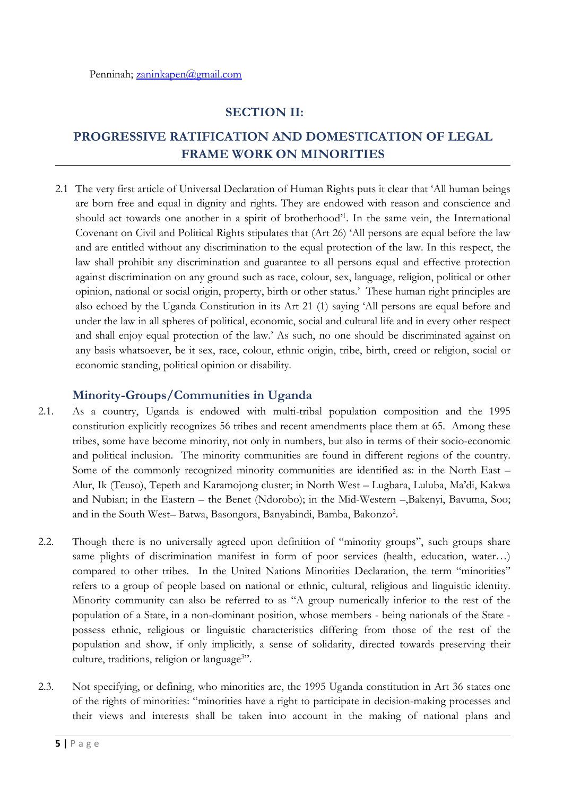# **SECTION II:**

# **PROGRESSIVE RATIFICATION AND DOMESTICATION OF LEGAL FRAME WORK ON MINORITIES**

2.1 The very first article of Universal Declaration of Human Rights puts it clear that 'All human beings are born free and equal in dignity and rights. They are endowed with reason and conscience and should act towards one another in <sup>a</sup> spirit of brotherhood' 1 . In the same vein, the International Covenant on Civil and Political Rights stipulates that (Art 26) 'All persons are equal before the law and are entitled without any discrimination to the equal protection of the law. In this respect, the law shall prohibit any discrimination and guarantee to all persons equal and effective protection against discrimination on any ground such as race, colour, sex, language, religion, political or other opinion, national or social origin, property, birth or other status.' These human right principles are also echoed by the Uganda Constitution in its Art <sup>21</sup> (1) saying 'All persons are equal before and under the law in all spheres of political, economic, social and cultural life and in every other respect and shall enjoy equal protection of the law.' As such, no one should be discriminated against on any basis whatsoever, be it sex, race, colour, ethnic origin, tribe, birth, creed or religion, social or economic standing, political opinion or disability.

### **Minority-Groups/Communities in Uganda**

- 2.1. As <sup>a</sup> country, Uganda is endowed with multi-tribal population composition and the 1995 constitution explicitly recognizes 56 tribes and recent amendments place them at 65. Among these tribes, some have become minority, not only in numbers, but also in terms of their socio-economic and political inclusion. The minority communities are found in different regions of the country. Some of the commonly recognized minority communities are identified as: in the North East – Alur, Ik (Teuso), Tepeth and Karamojong cluster; in North West – Lugbara, Luluba, Ma'di, Kakwa and Nubian; in the Eastern – the Benet (Ndorobo); in the Mid-Western –,Bakenyi, Bavuma, Soo; and in the South West– Batwa, Basongora, Banyabindi, Bamba, Bakonzo<sup>2</sup>.
- 2.2. Though there is no universally agreed upon definition of "minority groups", such groups share same plights of discrimination manifest in form of poor services (health, education, water…) compared to other tribes. In the United Nations Minorities Declaration, the term "minorities" refers to <sup>a</sup> group of people based on national or ethnic, cultural, religious and linguistic identity. Minority community can also be referred to as "A group numerically inferior to the rest of the population of <sup>a</sup> State, in <sup>a</sup> non-dominant position, whose members - being nationals of the State possess ethnic, religious or linguistic characteristics differing from those of the rest of the population and show, if only implicitly, <sup>a</sup> sense of solidarity, directed towards preserving their culture, traditions, religion or language 3 ".
- 2.3. Not specifying, or defining, who minorities are, the 1995 Uganda constitution in Art 36 states one of the rights of minorities: "minorities have <sup>a</sup> right to participate in decision-making processes and their views and interests shall be taken into account in the making of national plans and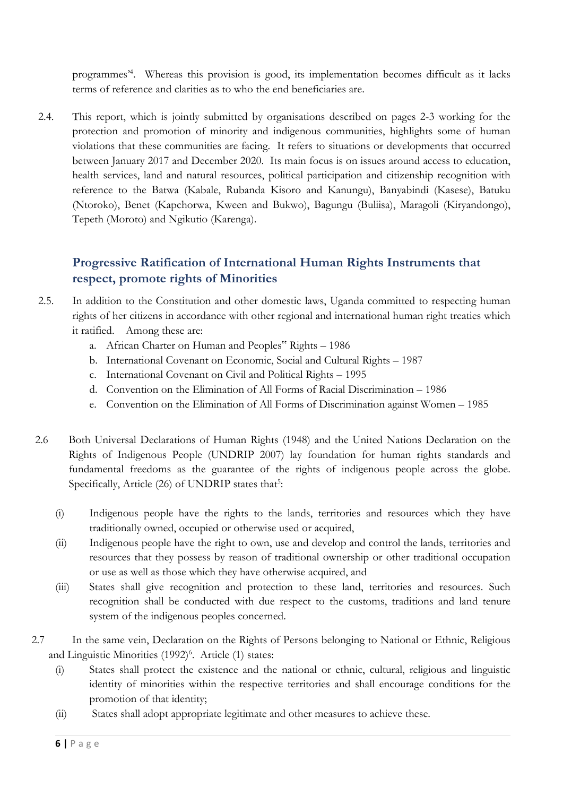programmes' 4 . Whereas this provision is good, its implementation becomes difficult as it lacks terms of reference and clarities as to who the end beneficiaries are.

2.4. This report, which is jointly submitted by organisations described on pages 2-3 working for the protection and promotion of minority and indigenous communities, highlights some of human violations that these communities are facing. It refers to situations or developments that occurred between January 2017 and December 2020. Its main focus is on issues around access to education, health services, land and natural resources, political participation and citizenship recognition with reference to the Batwa (Kabale, Rubanda Kisoro and Kanungu), Banyabindi (Kasese), Batuku (Ntoroko), Benet (Kapchorwa, Kween and Bukwo), Bagungu (Buliisa), Maragoli (Kiryandongo), Tepeth (Moroto) and Ngikutio (Karenga).

# **Progressive Ratification of International Human Rights Instruments that respect, promote rights of Minorities**

- 2.5. In addition to the Constitution and other domestic laws, Uganda committed to respecting human rights of her citizens in accordance with other regional and international human right treaties which it ratified. Among these are:
	- a. African Charter on Human and Peoples" Rights <sup>1986</sup>
	- b. International Covenant on Economic, Social and Cultural Rights 1987
	- c. International Covenant on Civil and Political Rights 1995
	- d. Convention on the Elimination of All Forms of Racial Discrimination 1986
	- e. Convention on the Elimination of All Forms of Discrimination against Women 1985
- 2.6 Both Universal Declarations of Human Rights (1948) and the United Nations Declaration on the Rights of Indigenous People (UNDRIP 2007) lay foundation for human rights standards and fundamental freedoms as the guarantee of the rights of indigenous people across the globe. Specifically, Article (26) of UNDRIP states that<sup>5</sup>:
	- (i) Indigenous people have the rights to the lands, territories and resources which they have traditionally owned, occupied or otherwise used or acquired,
	- (ii) Indigenous people have the right to own, use and develop and control the lands, territories and resources that they possess by reason of traditional ownership or other traditional occupation or use as well as those which they have otherwise acquired, and
	- (iii) States shall give recognition and protection to these land, territories and resources. Such recognition shall be conducted with due respect to the customs, traditions and land tenure system of the indigenous peoples concerned.
- 2.7 In the same vein, Declaration on the Rights of Persons belonging to National or Ethnic, Religious and Linguistic Minorities (1992) 6 . Article (1) states:
	- (i) States shall protect the existence and the national or ethnic, cultural, religious and linguistic identity of minorities within the respective territories and shall encourage conditions for the promotion of that identity;
	- (ii) States shall adopt appropriate legitimate and other measures to achieve these.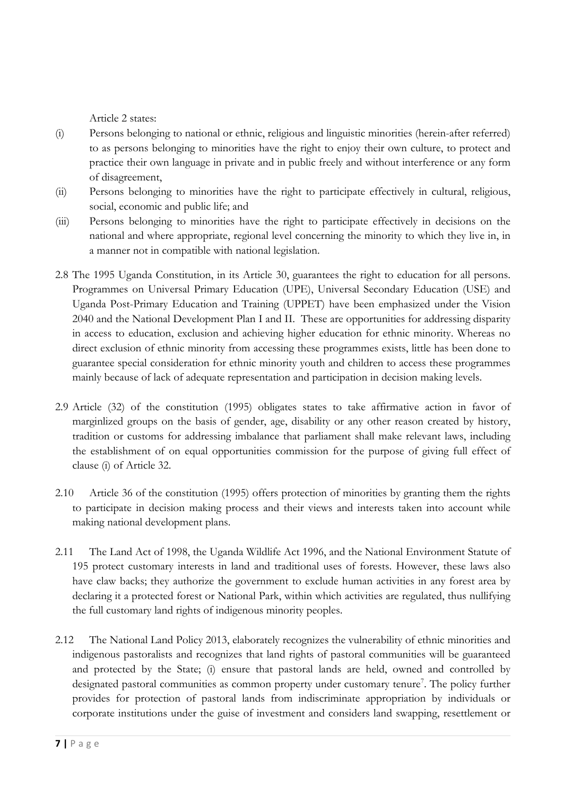Article 2 states:

- (i) Persons belonging to national or ethnic, religious and linguistic minorities (herein-after referred) to as persons belonging to minorities have the right to enjoy their own culture, to protect and practice their own language in private and in public freely and without interference or any form of disagreement,
- (ii) Persons belonging to minorities have the right to participate effectively in cultural, religious, social, economic and public life; and
- (iii) Persons belonging to minorities have the right to participate effectively in decisions on the national and where appropriate, regional level concerning the minority to which they live in, in <sup>a</sup> manner not in compatible with national legislation.
- 2.8 The 1995 Uganda Constitution, in its Article 30, guarantees the right to education for all persons. Programmes on Universal Primary Education (UPE), Universal Secondary Education (USE) and Uganda Post-Primary Education and Training (UPPET) have been emphasized under the Vision 2040 and the National Development Plan <sup>I</sup> and II. These are opportunities for addressing disparity in access to education, exclusion and achieving higher education for ethnic minority. Whereas no direct exclusion of ethnic minority from accessing these programmes exists, little has been done to guarantee special consideration for ethnic minority youth and children to access these programmes mainly because of lack of adequate representation and participation in decision making levels.
- 2.9 Article (32) of the constitution (1995) obligates states to take affirmative action in favor of marginlized groups on the basis of gender, age, disability or any other reason created by history, tradition or customs for addressing imbalance that parliament shall make relevant laws, including the establishment of on equal opportunities commission for the purpose of giving full effect of clause (i) of Article 32.
- 2.10 Article 36 of the constitution (1995) offers protection of minorities by granting them the rights to participate in decision making process and their views and interests taken into account while making national development plans.
- 2.11 The Land Act of 1998, the Uganda Wildlife Act 1996, and the National Environment Statute of 195 protect customary interests in land and traditional uses of forests. However, these laws also have claw backs; they authorize the government to exclude human activities in any forest area by declaring it <sup>a</sup> protected forest or National Park, within which activities are regulated, thus nullifying the full customary land rights of indigenous minority peoples.
- 2.12 The National Land Policy 2013, elaborately recognizes the vulnerability of ethnic minorities and indigenous pastoralists and recognizes that land rights of pastoral communities will be guaranteed and protected by the State; (i) ensure that pastoral lands are held, owned and controlled by designated pastoral communities as common property under customary tenure 7 . The policy further provides for protection of pastoral lands from indiscriminate appropriation by individuals or corporate institutions under the guise of investment and considers land swapping, resettlement or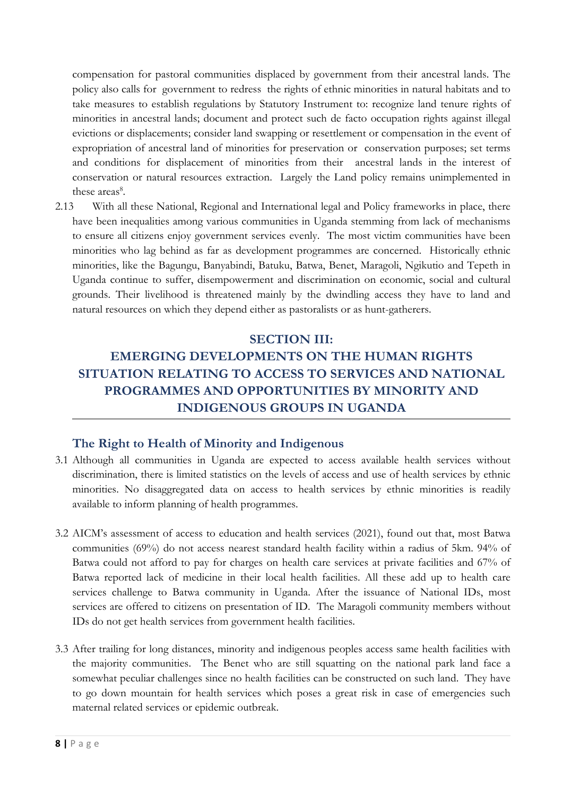compensation for pastoral communities displaced by government from their ancestral lands. The policy also calls for government to redress the rights of ethnic minorities in natural habitats and to take measures to establish regulations by Statutory Instrument to: recognize land tenure rights of minorities in ancestral lands; document and protect such de facto occupation rights against illegal evictions or displacements; consider land swapping or resettlement or compensation in the event of expropriation of ancestral land of minorities for preservation or conservation purposes; set terms and conditions for displacement of minorities from their ancestral lands in the interest of conservation or natural resources extraction. Largely the Land policy remains unimplemented in these areas<sup>8</sup>.

2.13 With all these National, Regional and International legal and Policy frameworks in place, there have been inequalities among various communities in Uganda stemming from lack of mechanisms to ensure all citizens enjoy government services evenly. The most victim communities have been minorities who lag behind as far as development programmes are concerned. Historically ethnic minorities, like the Bagungu, Banyabindi, Batuku, Batwa, Benet, Maragoli, Ngikutio and Tepeth in Uganda continue to suffer, disempowerment and discrimination on economic, social and cultural grounds. Their livelihood is threatened mainly by the dwindling access they have to land and natural resources on which they depend either as pastoralists or as hunt-gatherers.

#### **SECTION III:**

# **EMERGING DEVELOPMENTS ON THE HUMAN RIGHTS SITUATION RELATING TO ACCESS TO SERVICES AND NATIONAL PROGRAMMES AND OPPORTUNITIES BY MINORITY AND INDIGENOUS GROUPS IN UGANDA**

#### **The Right to Health of Minority and Indigenous**

- 3.1 Although all communities in Uganda are expected to access available health services without discrimination, there is limited statistics on the levels of access and use of health services by ethnic minorities. No disaggregated data on access to health services by ethnic minorities is readily available to inform planning of health programmes.
- 3.2 AICM'<sup>s</sup> assessment of access to education and health services (2021), found out that, most Batwa communities (69%) do not access nearest standard health facility within <sup>a</sup> radius of 5km. 94% of Batwa could not afford to pay for charges on health care services at private facilities and 67% of Batwa reported lack of medicine in their local health facilities. All these add up to health care services challenge to Batwa community in Uganda. After the issuance of National IDs, most services are offered to citizens on presentation of ID. The Maragoli community members without IDs do not ge<sup>t</sup> health services from government health facilities.
- 3.3 After trailing for long distances, minority and indigenous peoples access same health facilities with the majority communities. The Benet who are still squatting on the national park land face <sup>a</sup> somewhat peculiar challenges since no health facilities can be constructed on such land. They have to go down mountain for health services which poses <sup>a</sup> great risk in case of emergencies such maternal related services or epidemic outbreak.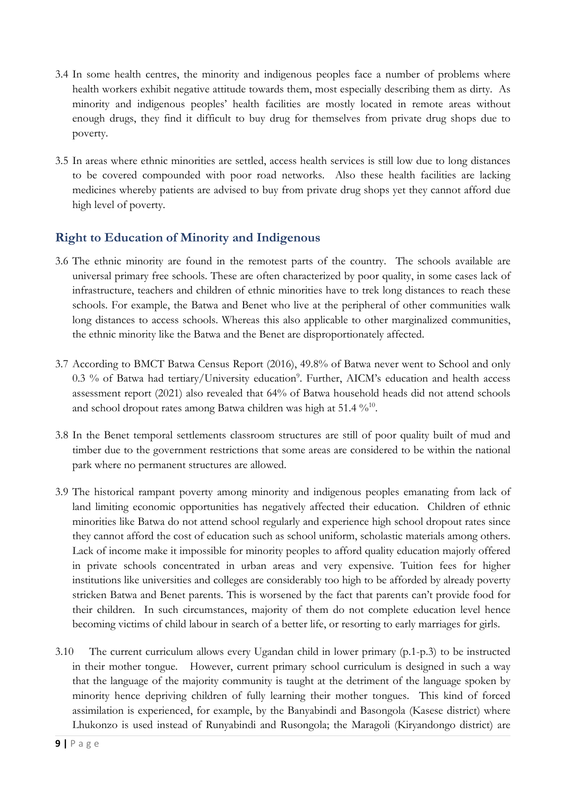- 3.4 In some health centres, the minority and indigenous peoples face <sup>a</sup> number of problems where health workers exhibit negative attitude towards them, most especially describing them as dirty. As minority and indigenous peoples' health facilities are mostly located in remote areas without enough drugs, they find it difficult to buy drug for themselves from private drug shops due to poverty.
- 3.5 In areas where ethnic minorities are settled, access health services is still low due to long distances to be covered compounded with poor road networks. Also these health facilities are lacking medicines whereby patients are advised to buy from private drug shops ye<sup>t</sup> they cannot afford due high level of poverty.

# **Right to Education of Minority and Indigenous**

- 3.6 The ethnic minority are found in the remotest parts of the country. The schools available are universal primary free schools. These are often characterized by poor quality, in some cases lack of infrastructure, teachers and children of ethnic minorities have to trek long distances to reach these schools. For example, the Batwa and Benet who live at the peripheral of other communities walk long distances to access schools. Whereas this also applicable to other marginalized communities, the ethnic minority like the Batwa and the Benet are disproportionately affected.
- 3.7 According to BMCT Batwa Census Report (2016), 49.8% of Batwa never went to School and only 0.3 % of Batwa had tertiary/University education<sup>9</sup>. Further, AICM's education and health access assessment report (2021) also revealed that 64% of Batwa household heads did not attend schools and school dropout rates among Batwa children was high at 51.4  $\%^{10}$ .
- 3.8 In the Benet temporal settlements classroom structures are still of poor quality built of mud and timber due to the government restrictions that some areas are considered to be within the national park where no permanent structures are allowed.
- 3.9 The historical rampant poverty among minority and indigenous peoples emanating from lack of land limiting economic opportunities has negatively affected their education. Children of ethnic minorities like Batwa do not attend school regularly and experience high school dropout rates since they cannot afford the cost of education such as school uniform, scholastic materials among others. Lack of income make it impossible for minority peoples to afford quality education majorly offered in private schools concentrated in urban areas and very expensive. Tuition fees for higher institutions like universities and colleges are considerably too high to be afforded by already poverty stricken Batwa and Benet parents. This is worsened by the fact that parents can'<sup>t</sup> provide food for their children. In such circumstances, majority of them do not complete education level hence becoming victims of child labour in search of <sup>a</sup> better life, or resorting to early marriages for girls.
- 3.10 The current curriculum allows every Ugandan child in lower primary (p.1-p.3) to be instructed in their mother tongue. However, current primary school curriculum is designed in such <sup>a</sup> way that the language of the majority community is taught at the detriment of the language spoken by minority hence depriving children of fully learning their mother tongues. This kind of forced assimilation is experienced, for example, by the Banyabindi and Basongola (Kasese district) where Lhukonzo is used instead of Runyabindi and Rusongola; the Maragoli (Kiryandongo district) are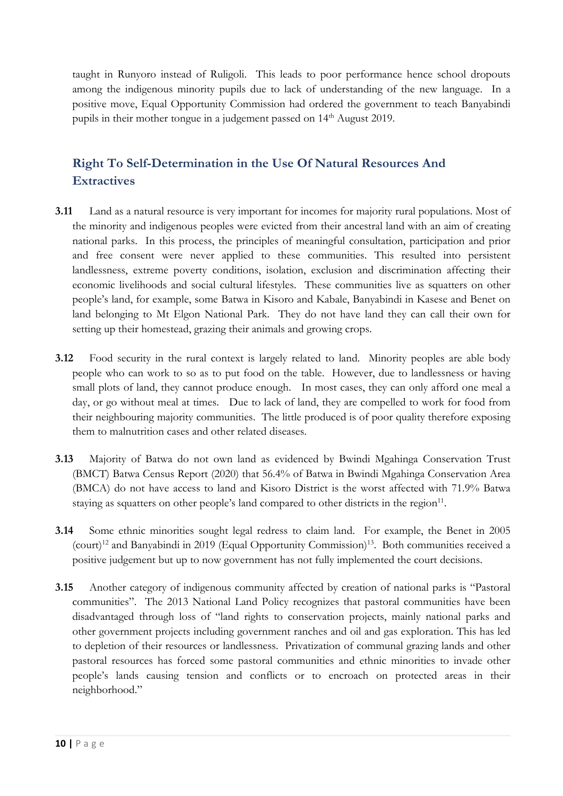taught in Runyoro instead of Ruligoli. This leads to poor performance hence school dropouts among the indigenous minority pupils due to lack of understanding of the new language. In <sup>a</sup> positive move, Equal Opportunity Commission had ordered the government to teach Banyabindi pupils in their mother tongue in a judgement passed on 14<sup>th</sup> August 2019.

# **Right To Self-Determination in the Use Of Natural Resources And Extractives**

- **3.11** Land as <sup>a</sup> natural resource is very important for incomes for majority rural populations. Most of the minority and indigenous peoples were evicted from their ancestral land with an aim of creating national parks. In this process, the principles of meaningful consultation, participation and prior and free consent were never applied to these communities. This resulted into persistent landlessness, extreme poverty conditions, isolation, exclusion and discrimination affecting their economic livelihoods and social cultural lifestyles. These communities live as squatters on other people'<sup>s</sup> land, for example, some Batwa in Kisoro and Kabale, Banyabindi in Kasese and Benet on land belonging to Mt Elgon National Park. They do not have land they can call their own for setting up their homestead, grazing their animals and growing crops.
- **3.12** Food security in the rural context is largely related to land. Minority peoples are able body people who can work to so as to put food on the table. However, due to landlessness or having small plots of land, they cannot produce enough. In most cases, they can only afford one meal <sup>a</sup> day, or go without meal at times. Due to lack of land, they are compelled to work for food from their neighbouring majority communities. The little produced is of poor quality therefore exposing them to malnutrition cases and other related diseases.
- **3.13** Majority of Batwa do not own land as evidenced by Bwindi Mgahinga Conservation Trust (BMCT) Batwa Census Report (2020) that 56.4% of Batwa in Bwindi Mgahinga Conservation Area (BMCA) do not have access to land and Kisoro District is the worst affected with 71.9% Batwa staying as squatters on other people's land compared to other districts in the region $^{\rm 11}$ .
- **3.14** Some ethnic minorities sought legal redress to claim land. For example, the Benet in 2005 (court) 12 and Banyabindi in 2019 (Equal Opportunity Commission) 13 . Both communities received <sup>a</sup> positive judgement but up to now government has not fully implemented the court decisions.
- **3.15** Another category of indigenous community affected by creation of national parks is "Pastoral communities". The 2013 National Land Policy recognizes that pastoral communities have been disadvantaged through loss of "land rights to conservation projects, mainly national parks and other government projects including government ranches and oil and gas exploration. This has led to depletion of their resources or landlessness. Privatization of communal grazing lands and other pastoral resources has forced some pastoral communities and ethnic minorities to invade other people'<sup>s</sup> lands causing tension and conflicts or to encroach on protected areas in their neighborhood."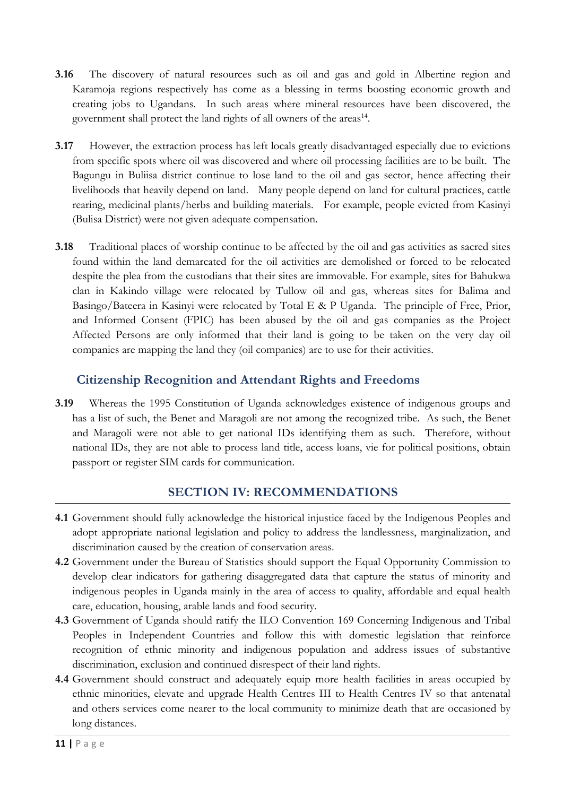- **3.16** The discovery of natural resources such as oil and gas and gold in Albertine region and Karamoja regions respectively has come as <sup>a</sup> blessing in terms boosting economic growth and creating jobs to Ugandans. In such areas where mineral resources have been discovered, the government shall protect the land rights of all owners of the areas<sup>14</sup>.
- **3.17** However, the extraction process has left locals greatly disadvantaged especially due to evictions from specific spots where oil was discovered and where oil processing facilities are to be built. The Bagungu in Buliisa district continue to lose land to the oil and gas sector, hence affecting their livelihoods that heavily depend on land. Many people depend on land for cultural practices, cattle rearing, medicinal plants/herbs and building materials. For example, people evicted from Kasinyi (Bulisa District) were not given adequate compensation.
- **3.18** Traditional places of worship continue to be affected by the oil and gas activities as sacred sites found within the land demarcated for the oil activities are demolished or forced to be relocated despite the plea from the custodians that their sites are immovable. For example, sites for Bahukwa clan in Kakindo village were relocated by Tullow oil and gas, whereas sites for Balima and Basingo/Bateera in Kasinyi were relocated by Total <sup>E</sup> & <sup>P</sup> Uganda. The principle of Free, Prior, and Informed Consent (FPIC) has been abused by the oil and gas companies as the Project Affected Persons are only informed that their land is going to be taken on the very day oil companies are mapping the land they (oil companies) are to use for their activities.

# **Citizenship Recognition and Attendant Rights and Freedoms**

**3.19** Whereas the 1995 Constitution of Uganda acknowledges existence of indigenous groups and has <sup>a</sup> list of such, the Benet and Maragoli are not among the recognized tribe. As such, the Benet and Maragoli were not able to ge<sup>t</sup> national IDs identifying them as such. Therefore, without national IDs, they are not able to process land title, access loans, vie for political positions, obtain passport or register SIM cards for communication.

# **SECTION IV: RECOMMENDATIONS**

- **4.1** Government should fully acknowledge the historical injustice faced by the Indigenous Peoples and adopt appropriate national legislation and policy to address the landlessness, marginalization, and discrimination caused by the creation of conservation areas.
- **4.2** Government under the Bureau of Statistics should support the Equal Opportunity Commission to develop clear indicators for gathering disaggregated data that capture the status of minority and indigenous peoples in Uganda mainly in the area of access to quality, affordable and equal health care, education, housing, arable lands and food security.
- **4.3** Government of Uganda should ratify the ILO Convention 169 Concerning Indigenous and Tribal Peoples in Independent Countries and follow this with domestic legislation that reinforce recognition of ethnic minority and indigenous population and address issues of substantive discrimination, exclusion and continued disrespect of their land rights.
- **4.4** Government should construct and adequately equip more health facilities in areas occupied by ethnic minorities, elevate and upgrade Health Centres III to Health Centres IV so that antenatal and others services come nearer to the local community to minimize death that are occasioned by long distances.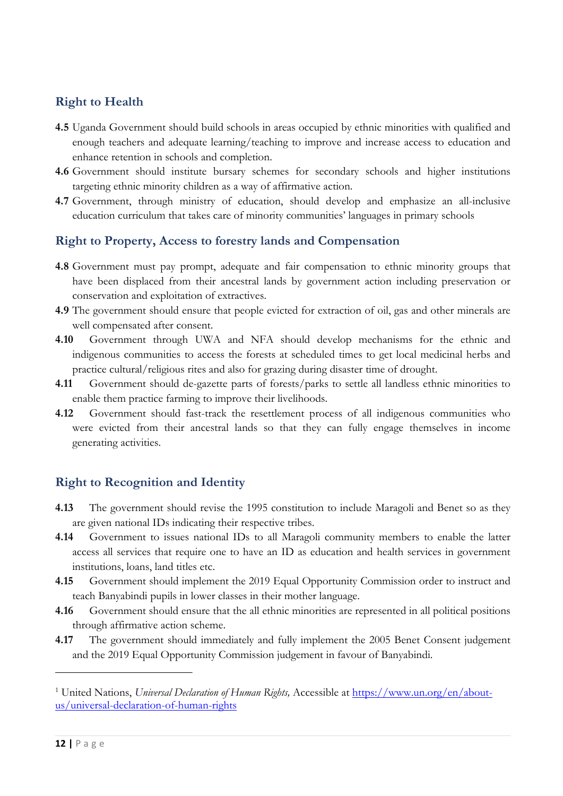# **Right to Health**

- **4.5** Uganda Government should build schools in areas occupied by ethnic minorities with qualified and enoug<sup>h</sup> teachers and adequate learning/teaching to improve and increase access to education and enhance retention in schools and completion.
- **4.6** Government should institute bursary schemes for secondary schools and higher institutions targeting ethnic minority children as <sup>a</sup> way of affirmative action.
- **4.7** Government, through ministry of education, should develop and emphasize an all-inclusive education curriculum that takes care of minority communities' languages in primary schools

### **Right to Property, Access to forestry lands and Compensation**

- **4.8** Government must pay prompt, adequate and fair compensation to ethnic minority groups that have been displaced from their ancestral lands by government action including preservation or conservation and exploitation of extractives.
- **4.9** The government should ensure that people evicted for extraction of oil, gas and other minerals are well compensated after consent.
- **4.10** Government through UWA and NFA should develop mechanisms for the ethnic and indigenous communities to access the forests at scheduled times to ge<sup>t</sup> local medicinal herbs and practice cultural/religious rites and also for grazing during disaster time of drought.
- **4.11** Government should de-gazette parts of forests/parks to settle all landless ethnic minorities to enable them practice farming to improve their livelihoods.
- **4.12** Government should fast-track the resettlement process of all indigenous communities who were evicted from their ancestral lands so that they can fully engage themselves in income generating activities.

# **Right to Recognition and Identity**

- **4.13** The government should revise the 1995 constitution to include Maragoli and Benet so as they are given national IDs indicating their respective tribes.
- **4.14** Government to issues national IDs to all Maragoli community members to enable the latter access all services that require one to have an ID as education and health services in government institutions, loans, land titles etc.
- **4.15** Government should implement the 2019 Equal Opportunity Commission order to instruct and teach Banyabindi pupils in lower classes in their mother language.
- **4.16** Government should ensure that the all ethnic minorities are represented in all political positions through affirmative action scheme.
- **4.17** The government should immediately and fully implement the 2005 Benet Consent judgement and the 2019 Equal Opportunity Commission judgement in favour of Banyabindi.

<sup>1</sup> United Nations, *Universal Declaration of Human Rights,* Accessible at [https://www.un.org/en/about](https://www.un.org/en/about-us/universal-declaration-of-human-rights)[us/universal-declaration-of-human-rights](https://www.un.org/en/about-us/universal-declaration-of-human-rights)